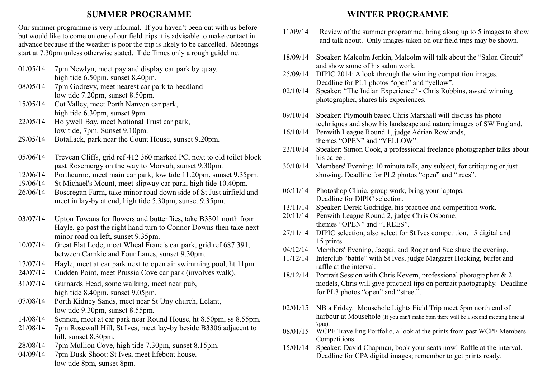### **SUMMER PROGRAMME**

Our summer programme is very informal. If you haven't been out with us before but would like to come on one of our field trips it is advisable to make contact in advance because if the weather is poor the trip is likely to be cancelled. Meetings start at 7.30pm unless otherwise stated. Tide Times only a rough guideline.

- 01/05/14 7pm Newlyn, meet pay and display car park by quay. high tide 6.50pm, sunset 8.40pm.
- 08/05/14 7pm Godrevy, meet nearest car park to headland low tide 7.20pm, sunset 8.50pm.
- 15/05/14 Cot Valley, meet Porth Nanven car park, high tide 6.30pm, sunset 9pm.
- 22/05/14 Holywell Bay, meet National Trust car park, low tide, 7pm. Sunset 9.10pm.
- 29/05/14 Botallack, park near the Count House, sunset 9.20pm.
- 05/06/14 Trevean Cliffs, grid ref 412 360 marked PC, next to old toilet block past Rosemergy on the way to Morvah, sunset 9.30pm.
- 12/06/14 Porthcurno, meet main car park, low tide 11.20pm, sunset 9.35pm.
- 19/06/14 St Michael's Mount, meet slipway car park, high tide 10.40pm.
- 26/06/14 Boscregan Farm, take minor road down side of St Just airfield and meet in lay-by at end, high tide 5.30pm, sunset 9.35pm.
- 03/07/14 Upton Towans for flowers and butterflies, take B3301 north from Hayle, go past the right hand turn to Connor Downs then take next minor road on left, sunset 9.35pm.
- 10/07/14 Great Flat Lode, meet Wheal Francis car park, grid ref 687 391, between Carnkie and Four Lanes, sunset 9.30pm.
- 17/07/14 Hayle, meet at car park next to open air swimming pool, ht 11pm.
- 24/07/14 Cudden Point, meet Prussia Cove car park (involves walk),
- 31/07/14 Gurnards Head, some walking, meet near pub, high tide 8.40pm, sunset 9.05pm.
- 07/08/14 Porth Kidney Sands, meet near St Uny church, Lelant, low tide 9.30pm, sunset 8.55pm.
- 14/08/14 Sennen, meet at car park near Round House, ht 8.50pm, ss 8.55pm.
- 21/08/14 7pm Rosewall Hill, St Ives, meet lay-by beside B3306 adjacent to hill, sunset 8.30pm.
- 28/08/14 7pm Mullion Cove, high tide 7.30pm, sunset 8.15pm.
- 04/09/14 7pm Dusk Shoot: St Ives, meet lifeboat house. low tide 8pm, sunset 8pm.

### **WINTER PROGRAMME**

- 11/09/14 Review of the summer programme, bring along up to 5 images to show and talk about. Only images taken on our field trips may be shown.
- 18/09/14 Speaker: Malcolm Jenkin, Malcolm will talk about the "Salon Circuit" and show some of his salon work.
- 25/09/14 DIPIC 2014: A look through the winning competition images. Deadline for PL1 photos "open" and "yellow".
- 02/10/14 Speaker: "The Indian Experience" Chris Robbins, award winning photographer, shares his experiences.
- 09/10/14 Speaker: Plymouth based Chris Marshall will discuss his photo techniques and show his landscape and nature images of SW England.
- 16/10/14 Penwith League Round 1, judge Adrian Rowlands, themes "OPEN" and "YELLOW".
- 23/10/14 Speaker: Simon Cook, a professional freelance photographer talks about his career.
- 30/10/14 Members' Evening: 10 minute talk, any subject, for critiquing or just showing. Deadline for PL2 photos "open" and "trees".
- 06/11/14 Photoshop Clinic, group work, bring your laptops. Deadline for DIPIC selection.
- 13/11/14 Speaker: Derek Godridge, his practice and competition work.
- 20/11/14 Penwith League Round 2, judge Chris Osborne, themes "OPEN" and "TREES".
- 27/11/14 DIPIC selection, also select for St Ives competition, 15 digital and 15 prints.
- 04/12/14 Members' Evening, Jacqui, and Roger and Sue share the evening.
- 11/12/14 Interclub "battle" with St Ives, judge Margaret Hocking, buffet and raffle at the interval.
- 18/12/14 Portrait Session with Chris Kevern, professional photographer & 2 models, Chris will give practical tips on portrait photography. Deadline for PL3 photos "open" and "street".
- 02/01/15 NB a Friday. Mousehole Lights Field Trip meet 5pm north end of harbour at Mousehole (If you can't make 5pm there will be a second meeting time at 7pm).
- 08/01/15 WCPF Travelling Portfolio, a look at the prints from past WCPF Members Competitions.
- 15/01/14 Speaker: David Chapman, book your seats now! Raffle at the interval. Deadline for CPA digital images; remember to get prints ready.